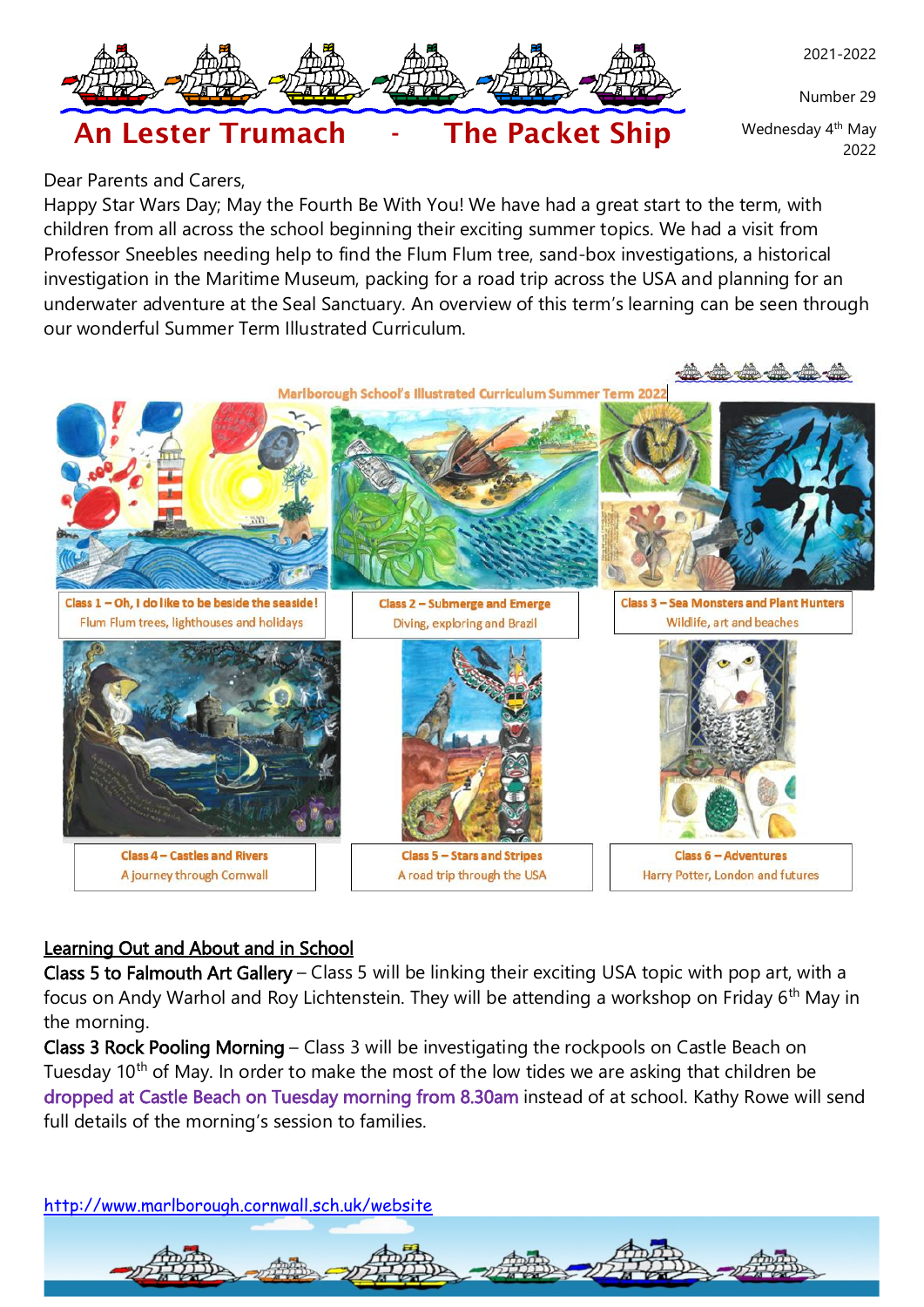

Number 29

Wednesday 4<sup>th</sup> May 2022

# An Lester Trumach - The Packet Ship

# Dear Parents and Carers,

Happy Star Wars Day; May the Fourth Be With You! We have had a great start to the term, with children from all across the school beginning their exciting summer topics. We had a visit from Professor Sneebles needing help to find the Flum Flum tree, sand-box investigations, a historical investigation in the Maritime Museum, packing for a road trip across the USA and planning for an underwater adventure at the Seal Sanctuary. An overview of this term's learning can be seen through our wonderful Summer Term Illustrated Curriculum.



# Learning Out and About and in School

Class 5 to Falmouth Art Gallery – Class 5 will be linking their exciting USA topic with pop art, with a focus on Andy Warhol and Roy Lichtenstein. They will be attending a workshop on Friday 6<sup>th</sup> May in the morning.

Class 3 Rock Pooling Morning – Class 3 will be investigating the rockpools on Castle Beach on Tuesday 10<sup>th</sup> of May. In order to make the most of the low tides we are asking that children be dropped at Castle Beach on Tuesday morning from 8.30am instead of at school. Kathy Rowe will send full details of the morning's session to families.

<http://www.marlborough.cornwall.sch.uk/website>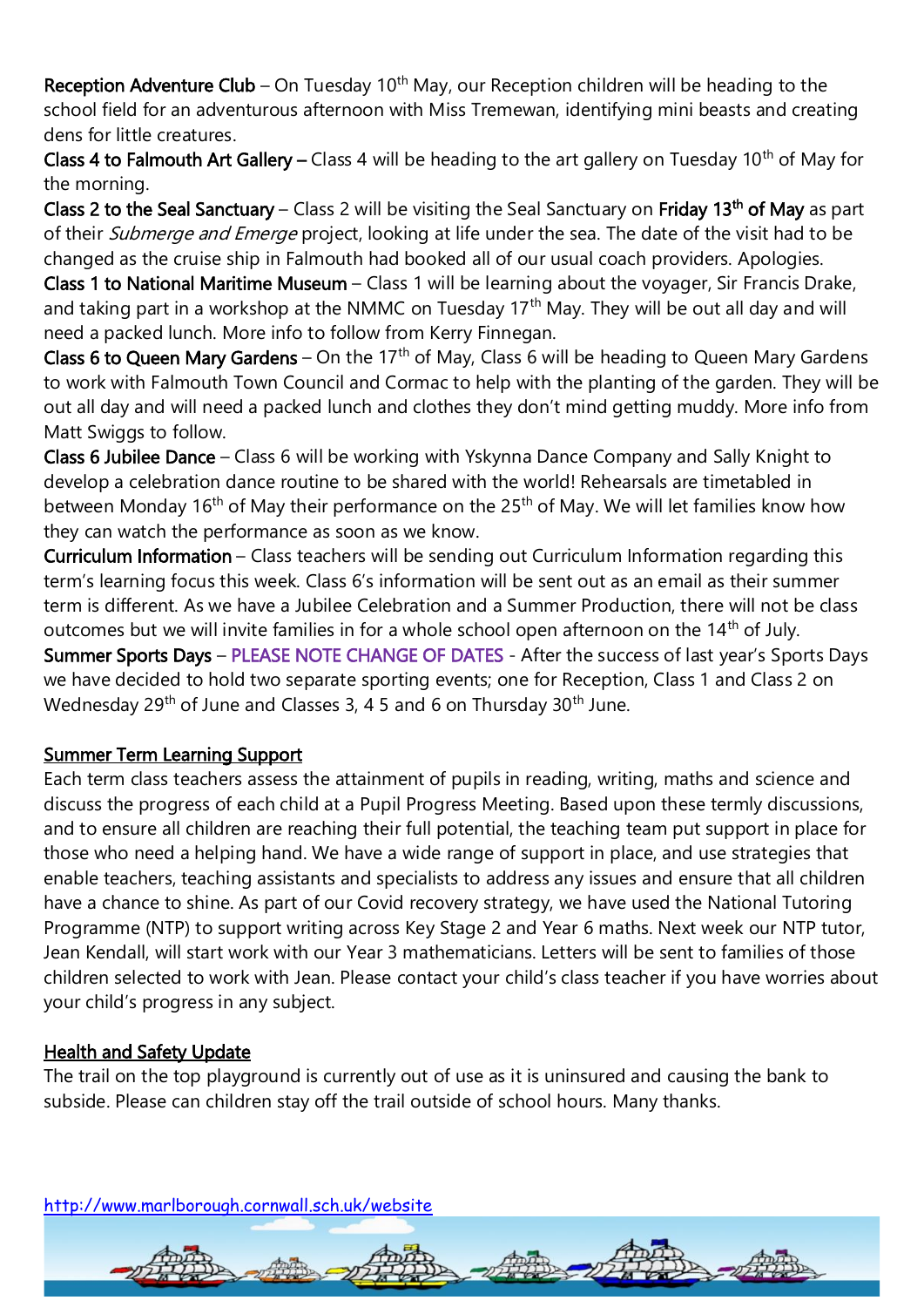Reception Adventure Club – On Tuesday  $10<sup>th</sup>$  May, our Reception children will be heading to the school field for an adventurous afternoon with Miss Tremewan, identifying mini beasts and creating dens for little creatures.

**Class 4 to Falmouth Art Gallery –** Class 4 will be heading to the art gallery on Tuesday 10<sup>th</sup> of May for the morning.

Class 2 to the Seal Sanctuary – Class 2 will be visiting the Seal Sanctuary on Friday 13<sup>th</sup> of May as part of their Submerge and Emerge project, looking at life under the sea. The date of the visit had to be changed as the cruise ship in Falmouth had booked all of our usual coach providers. Apologies.

Class 1 to National Maritime Museum – Class 1 will be learning about the voyager, Sir Francis Drake, and taking part in a workshop at the NMMC on Tuesday 17<sup>th</sup> May. They will be out all day and will need a packed lunch. More info to follow from Kerry Finnegan.

Class 6 to Queen Mary Gardens – On the 17<sup>th</sup> of May, Class 6 will be heading to Queen Mary Gardens to work with Falmouth Town Council and Cormac to help with the planting of the garden. They will be out all day and will need a packed lunch and clothes they don't mind getting muddy. More info from Matt Swiggs to follow.

Class 6 Jubilee Dance – Class 6 will be working with Yskynna Dance Company and Sally Knight to develop a celebration dance routine to be shared with the world! Rehearsals are timetabled in between Monday 16<sup>th</sup> of May their performance on the 25<sup>th</sup> of May. We will let families know how they can watch the performance as soon as we know.

Curriculum Information – Class teachers will be sending out Curriculum Information regarding this term's learning focus this week. Class 6's information will be sent out as an email as their summer term is different. As we have a Jubilee Celebration and a Summer Production, there will not be class outcomes but we will invite families in for a whole school open afternoon on the 14<sup>th</sup> of July. Summer Sports Days – PLEASE NOTE CHANGE OF DATES - After the success of last year's Sports Days we have decided to hold two separate sporting events; one for Reception, Class 1 and Class 2 on Wednesday  $29<sup>th</sup>$  of June and Classes 3, 4 5 and 6 on Thursday 30<sup>th</sup> June.

## Summer Term Learning Support

Each term class teachers assess the attainment of pupils in reading, writing, maths and science and discuss the progress of each child at a Pupil Progress Meeting. Based upon these termly discussions, and to ensure all children are reaching their full potential, the teaching team put support in place for those who need a helping hand. We have a wide range of support in place, and use strategies that enable teachers, teaching assistants and specialists to address any issues and ensure that all children have a chance to shine. As part of our Covid recovery strategy, we have used the National Tutoring Programme (NTP) to support writing across Key Stage 2 and Year 6 maths. Next week our NTP tutor, Jean Kendall, will start work with our Year 3 mathematicians. Letters will be sent to families of those children selected to work with Jean. Please contact your child's class teacher if you have worries about your child's progress in any subject.

# Health and Safety Update

The trail on the top playground is currently out of use as it is uninsured and causing the bank to subside. Please can children stay off the trail outside of school hours. Many thanks.

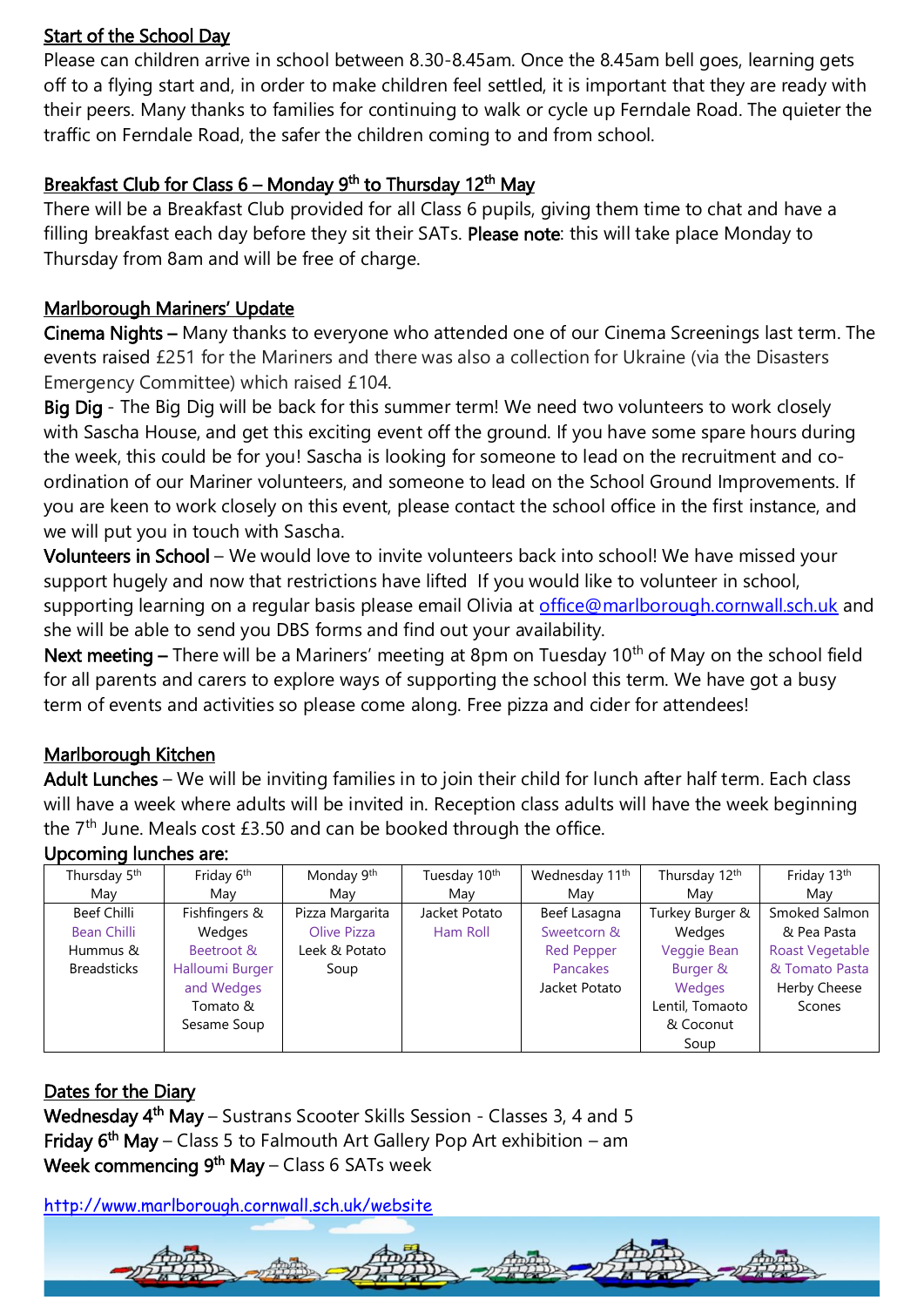## Start of the School Day

Please can children arrive in school between 8.30-8.45am. Once the 8.45am bell goes, learning gets off to a flying start and, in order to make children feel settled, it is important that they are ready with their peers. Many thanks to families for continuing to walk or cycle up Ferndale Road. The quieter the traffic on Ferndale Road, the safer the children coming to and from school.

## <u>Breakfast Club for Class 6 – Monday 9<sup>th</sup> to Thursday 12<sup>th</sup> May</u>

There will be a Breakfast Club provided for all Class 6 pupils, giving them time to chat and have a filling breakfast each day before they sit their SATs. Please note: this will take place Monday to Thursday from 8am and will be free of charge.

#### Marlborough Mariners' Update

Cinema Nights – Many thanks to everyone who attended one of our Cinema Screenings last term. The events raised £251 for the Mariners and there was also a collection for Ukraine (via the Disasters Emergency Committee) which raised £104.

Big Dig - The Big Dig will be back for this summer term! We need two volunteers to work closely with Sascha House, and get this exciting event off the ground. If you have some spare hours during the week, this could be for you! Sascha is looking for someone to lead on the recruitment and coordination of our Mariner volunteers, and someone to lead on the School Ground Improvements. If you are keen to work closely on this event, please contact the school office in the first instance, and we will put you in touch with Sascha.

Volunteers in School – We would love to invite volunteers back into school! We have missed your support hugely and now that restrictions have lifted If you would like to volunteer in school, supporting learning on a regular basis please email Olivia at [office@marlborough.cornwall.sch.uk](mailto:office@marlborough.cornwall.sch.uk) and she will be able to send you DBS forms and find out your availability.

Next meeting – There will be a Mariners' meeting at 8pm on Tuesday  $10<sup>th</sup>$  of May on the school field for all parents and carers to explore ways of supporting the school this term. We have got a busy term of events and activities so please come along. Free pizza and cider for attendees!

#### Marlborough Kitchen

Adult Lunches - We will be inviting families in to join their child for lunch after half term. Each class will have a week where adults will be invited in. Reception class adults will have the week beginning the  $7<sup>th</sup>$  June. Meals cost £3.50 and can be booked through the office.

#### Upcoming lunches are:

| Thursday 5 <sup>th</sup> | Friday 6th      | Monday 9th      | Tuesday 10th  | Wednesday 11th    | Thursday 12th   | Friday 13th            |
|--------------------------|-----------------|-----------------|---------------|-------------------|-----------------|------------------------|
| Mav                      | Mav             | Mav             | Mav           | Mav               | Mav             | May                    |
| Beef Chilli              | Fishfingers &   | Pizza Margarita | Jacket Potato | Beef Lasagna      | Turkey Burger & | Smoked Salmon          |
| Bean Chilli              | Wedges          | Olive Pizza     | Ham Roll      | Sweetcorn &       | Wedges          | & Pea Pasta            |
| Hummus &                 | Beetroot &      | Leek & Potato   |               | <b>Red Pepper</b> | Veggie Bean     | <b>Roast Vegetable</b> |
| <b>Breadsticks</b>       | Halloumi Burger | Soup            |               | <b>Pancakes</b>   | Burger &        | & Tomato Pasta         |
|                          | and Wedges      |                 |               | Jacket Potato     | Wedges          | Herby Cheese           |
|                          | Tomato &        |                 |               |                   | Lentil, Tomaoto | Scones                 |
|                          | Sesame Soup     |                 |               |                   | & Coconut       |                        |
|                          |                 |                 |               |                   | Soup            |                        |

#### Dates for the Diary

Wednesday 4<sup>th</sup> May – Sustrans Scooter Skills Session - Classes 3, 4 and 5 Friday  $6<sup>th</sup>$  May – Class 5 to Falmouth Art Gallery Pop Art exhibition – am **Week commencing 9<sup>th</sup> May** – Class 6 SATs week

<http://www.marlborough.cornwall.sch.uk/website>